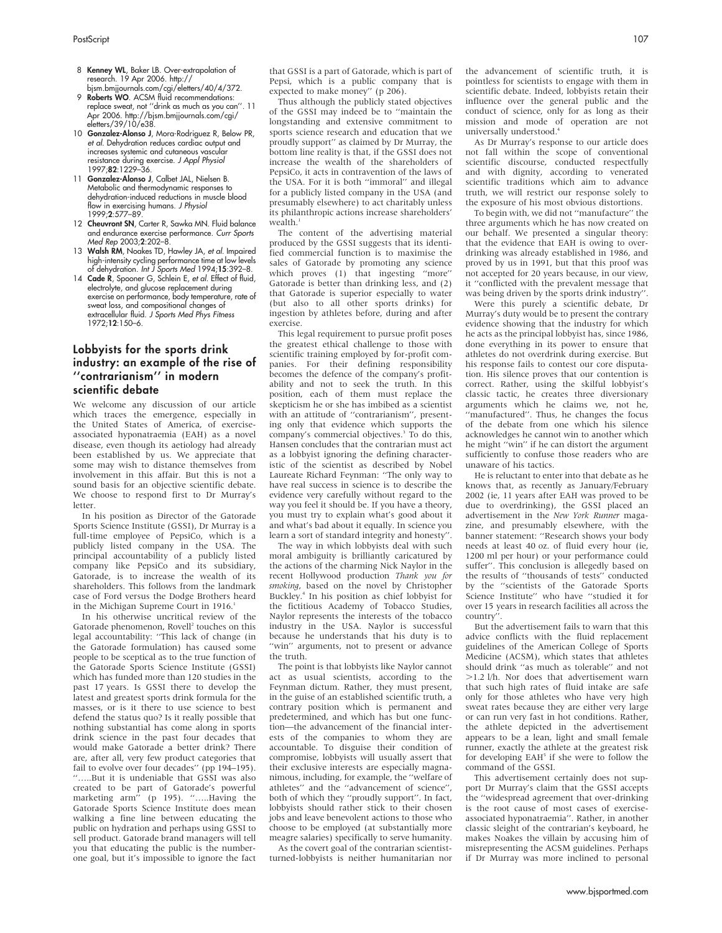- 8 Kenney WL, Baker LB. Over-extrapolation of research. 19 Apr 2006. http:// bjsm.bmjjournals.com/cgi/eletters/40/4/372.
- 9 **Roberts WO.** ACSM fluid recommendations: replace sweat, not ''drink as much as you can''. 11 Apr 2006. http://bjsm.bmjjournals.com/cgi/ eletters/39/10/e38.
- 10 Gonzalez-Alonso J, Mora-Rodriguez R, Below PR, et al. Dehydration reduces cardiac output and increases systemic and cutaneous vascular resistance during exercise. J Appl Physiol 1997;82:1229–36.
- 11 Gonzalez-Alonso J, Calbet JAL, Nielsen B. Metabolic and thermodynamic responses to dehydration-induced reductions in muscle blood flow in exercising humans. J Physiol 1999;2:577–89.
- 12 Cheuvront SN, Carter R, Sawka MN. Fluid balance and endurance exercise performance. Curr Sports Med Rep 2003;2:202–8.
- 13 Walsh RM, Noakes TD, Hawley JA, et al. Impaired high-intensity cycling performance time at low levels of dehydration. Int J Sports Med 1994;15:392–8.
- 14 Cade R, Spooner G, Schlein E, et al. Effect of fluid, electrolyte, and glucose replacement during exercise on performance, body temperature, rate of sweat loss, and compositional changes of extracellular fluid. J Sports Med Phys Fitness 1972;12:150–6.

## Lobbyists for the sports drink industry: an example of the rise of ''contrarianism'' in modern scientific debate

We welcome any discussion of our article which traces the emergence, especially in the United States of America, of exerciseassociated hyponatraemia (EAH) as a novel disease, even though its aetiology had already been established by us. We appreciate that some may wish to distance themselves from involvement in this affair. But this is not a sound basis for an objective scientific debate. We choose to respond first to Dr Murray's **letter** 

In his position as Director of the Gatorade Sports Science Institute (GSSI), Dr Murray is a full-time employee of PepsiCo, which is a publicly listed company in the USA. The principal accountability of a publicly listed company like PepsiCo and its subsidiary, Gatorade, is to increase the wealth of its shareholders. This follows from the landmark case of Ford versus the Dodge Brothers heard in the Michigan Supreme Court in 1916.<sup>1</sup>

In his otherwise uncritical review of the Gatorade phenomenon, Rovell<sup>2</sup> touches on this legal accountability: ''This lack of change (in the Gatorade formulation) has caused some people to be sceptical as to the true function of the Gatorade Sports Science Institute (GSSI) which has funded more than 120 studies in the past 17 years. Is GSSI there to develop the latest and greatest sports drink formula for the masses, or is it there to use science to best defend the status quo? Is it really possible that nothing substantial has come along in sports drink science in the past four decades that would make Gatorade a better drink? There are, after all, very few product categories that fail to evolve over four decades'' (pp 194–195). ''…..But it is undeniable that GSSI was also created to be part of Gatorade's powerful marketing arm" (p 195). ".....Having the Gatorade Sports Science Institute does mean walking a fine line between educating the public on hydration and perhaps using GSSI to sell product. Gatorade brand managers will tell you that educating the public is the numberone goal, but it's impossible to ignore the fact that GSSI is a part of Gatorade, which is part of Pepsi, which is a public company that is expected to make money'' (p 206).

Thus although the publicly stated objectives of the GSSI may indeed be to ''maintain the longstanding and extensive commitment to sports science research and education that we proudly support'' as claimed by Dr Murray, the bottom line reality is that, if the GSSI does not increase the wealth of the shareholders of PepsiCo, it acts in contravention of the laws of the USA. For it is both ''immoral'' and illegal for a publicly listed company in the USA (and presumably elsewhere) to act charitably unless its philanthropic actions increase shareholders'  $we$ alth $<sup>1</sup>$ </sup>

The content of the advertising material produced by the GSSI suggests that its identified commercial function is to maximise the sales of Gatorade by promoting any science which proves (1) that ingesting "more" Gatorade is better than drinking less, and (2) that Gatorade is superior especially to water (but also to all other sports drinks) for ingestion by athletes before, during and after exercise.

This legal requirement to pursue profit poses the greatest ethical challenge to those with scientific training employed by for-profit companies. For their defining responsibility becomes the defence of the company's profitability and not to seek the truth. In this position, each of them must replace the skepticism he or she has imbibed as a scientist with an attitude of "contrarianism", presenting only that evidence which supports the company's commercial objectives.<sup>3</sup> To do this, Hansen concludes that the contrarian must act as a lobbyist ignoring the defining characteristic of the scientist as described by Nobel Laureate Richard Feynman: ''The only way to have real success in science is to describe the evidence very carefully without regard to the way you feel it should be. If you have a theory, you must try to explain what's good about it and what's bad about it equally. In science you learn a sort of standard integrity and honesty''.

The way in which lobbyists deal with such moral ambiguity is brilliantly caricatured by the actions of the charming Nick Naylor in the recent Hollywood production Thank you for smoking, based on the novel by Christopher<br>Buckley.<sup>4</sup> In his position as chief lobbyist for the fictitious Academy of Tobacco Studies, Naylor represents the interests of the tobacco industry in the USA. Naylor is successful because he understands that his duty is to "win" arguments, not to present or advance the truth.

The point is that lobbyists like Naylor cannot act as usual scientists, according to the Feynman dictum. Rather, they must present, in the guise of an established scientific truth, a contrary position which is permanent and predetermined, and which has but one function—the advancement of the financial interests of the companies to whom they are accountable. To disguise their condition of compromise, lobbyists will usually assert that their exclusive interests are especially magnanimous, including, for example, the ''welfare of athletes'' and the ''advancement of science'', both of which they ''proudly support''. In fact, lobbyists should rather stick to their chosen jobs and leave benevolent actions to those who choose to be employed (at substantially more meagre salaries) specifically to serve humanity.

As the covert goal of the contrarian scientistturned-lobbyists is neither humanitarian nor the advancement of scientific truth, it is pointless for scientists to engage with them in scientific debate. Indeed, lobbyists retain their influence over the general public and the conduct of science, only for as long as their mission and mode of operation are not universally understood.4

As Dr Murray's response to our article does not fall within the scope of conventional scientific discourse, conducted respectfully and with dignity, according to venerated scientific traditions which aim to advance truth, we will restrict our response solely to the exposure of his most obvious distortions.

To begin with, we did not ''manufacture'' the three arguments which he has now created on our behalf. We presented a singular theory: that the evidence that EAH is owing to overdrinking was already established in 1986, and proved by us in 1991, but that this proof was not accepted for 20 years because, in our view, it ''conflicted with the prevalent message that was being driven by the sports drink industry''.

Were this purely a scientific debate, Dr Murray's duty would be to present the contrary evidence showing that the industry for which he acts as the principal lobbyist has, since 1986, done everything in its power to ensure that athletes do not overdrink during exercise. But his response fails to contest our core disputation. His silence proves that our contention is correct. Rather, using the skilful lobbyist's classic tactic, he creates three diversionary arguments which he claims we, not he, ''manufactured''. Thus, he changes the focus of the debate from one which his silence acknowledges he cannot win to another which he might ''win'' if he can distort the argument sufficiently to confuse those readers who are unaware of his tactics.

He is reluctant to enter into that debate as he knows that, as recently as January/February 2002 (ie, 11 years after EAH was proved to be due to overdrinking), the GSSI placed an advertisement in the New York Runner magazine, and presumably elsewhere, with the banner statement: ''Research shows your body needs at least 40 oz. of fluid every hour (ie, 1200 ml per hour) or your performance could suffer''. This conclusion is allegedly based on the results of ''thousands of tests'' conducted by the ''scientists of the Gatorade Sports Science Institute'' who have ''studied it for over 15 years in research facilities all across the country''.

But the advertisement fails to warn that this advice conflicts with the fluid replacement guidelines of the American College of Sports Medicine (ACSM), which states that athletes should drink ''as much as tolerable'' and not >1.2 l/h. Nor does that advertisement warn that such high rates of fluid intake are safe only for those athletes who have very high sweat rates because they are either very large or can run very fast in hot conditions. Rather, the athlete depicted in the advertisement appears to be a lean, light and small female runner, exactly the athlete at the greatest risk for developing EAH<sup>5</sup> if she were to follow the command of the GSSI.

This advertisement certainly does not support Dr Murray's claim that the GSSI accepts the ''widespread agreement that over-drinking is the root cause of most cases of exerciseassociated hyponatraemia''. Rather, in another classic sleight of the contrarian's keyboard, he makes Noakes the villain by accusing him of misrepresenting the ACSM guidelines. Perhaps if Dr Murray was more inclined to personal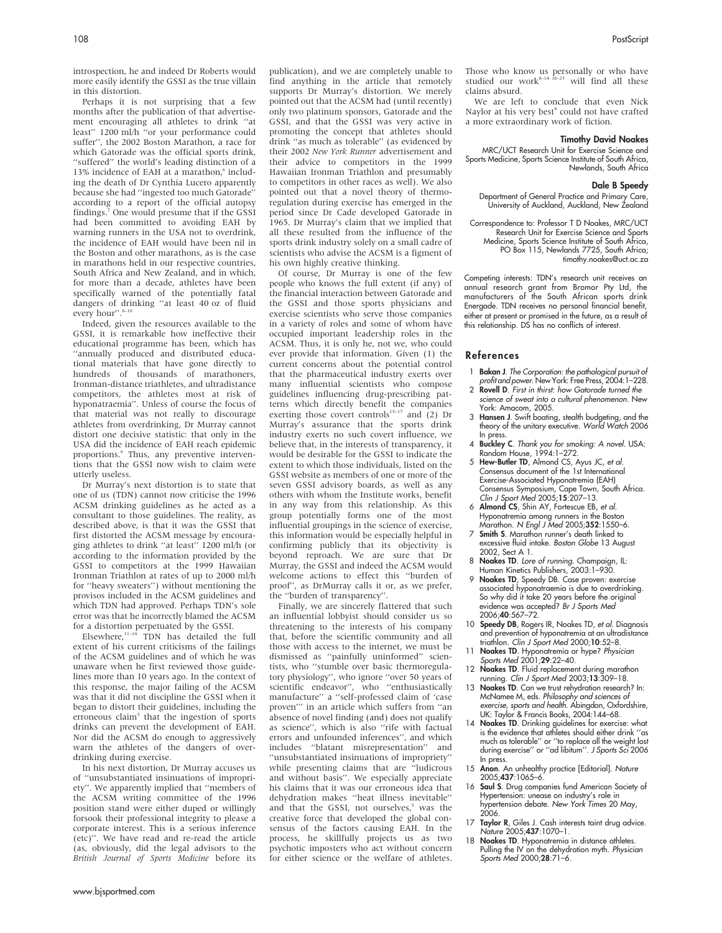introspection, he and indeed Dr Roberts would more easily identify the GSSI as the true villain in this distortion.

Perhaps it is not surprising that a few months after the publication of that advertisement encouraging all athletes to drink ''at least'' 1200 ml/h ''or your performance could suffer'', the 2002 Boston Marathon, a race for which Gatorade was the official sports drink, "suffered" the world's leading distinction of a 13% incidence of  $FAH$  at a marathon  $6$  including the death of Dr Cynthia Lucero apparently because she had ''ingested too much Gatorade'' according to a report of the official autopsy findings.7 One would presume that if the GSSI had been committed to avoiding EAH by warning runners in the USA not to overdrink, the incidence of EAH would have been nil in the Boston and other marathons, as is the case in marathons held in our respective countries, South Africa and New Zealand, and in which, for more than a decade, athletes have been specifically warned of the potentially fatal dangers of drinking ''at least 40 oz of fluid every hour".<sup>8-10</sup>

Indeed, given the resources available to the GSSI, it is remarkable how ineffective their educational programme has been, which has ''annually produced and distributed educational materials that have gone directly to hundreds of thousands of marathoners, Ironman-distance triathletes, and ultradistance competitors, the athletes most at risk of hyponatraemia''. Unless of course the focus of that material was not really to discourage athletes from overdrinking, Dr Murray cannot distort one decisive statistic: that only in the USA did the incidence of EAH reach epidemic proportions.<sup>9</sup> Thus, any preventive interventions that the GSSI now wish to claim were utterly useless.

Dr Murray's next distortion is to state that one of us (TDN) cannot now criticise the 1996 ACSM drinking guidelines as he acted as a consultant to those guidelines. The reality, as described above, is that it was the GSSI that first distorted the ACSM message by encouraging athletes to drink ''at least'' 1200 ml/h (or according to the information provided by the GSSI to competitors at the 1999 Hawaiian Ironman Triathlon at rates of up to 2000 ml/h for ''heavy sweaters'') without mentioning the provisos included in the ACSM guidelines and which TDN had approved. Perhaps TDN's sole error was that he incorrectly blamed the ACSM for a distortion perpetuated by the GSSI.

Elsewhere, $11-14$  TDN has detailed the full extent of his current criticisms of the failings of the ACSM guidelines and of which he was unaware when he first reviewed those guidelines more than 10 years ago. In the context of this response, the major failing of the ACSM was that it did not discipline the GSSI when it began to distort their guidelines, including the erroneous claim<sup>5</sup> that the ingestion of sports drinks can prevent the development of EAH. Nor did the ACSM do enough to aggressively warn the athletes of the dangers of overdrinking during exercise.

In his next distortion, Dr Murray accuses us of ''unsubstantiated insinuations of impropriety''. We apparently implied that ''members of the ACSM writing committee of the 1996 position stand were either duped or willingly forsook their professional integrity to please a corporate interest. This is a serious inference (etc)''. We have read and re-read the article (as, obviously, did the legal advisors to the British Journal of Sports Medicine before its publication), and we are completely unable to find anything in the article that remotely supports Dr Murray's distortion. We merely pointed out that the ACSM had (until recently) only two platinum sponsors, Gatorade and the GSSI, and that the GSSI was very active in promoting the concept that athletes should drink ''as much as tolerable'' (as evidenced by their 2002 New York Runner advertisement and their advice to competitors in the 1999 Hawaiian Ironman Triathlon and presumably to competitors in other races as well). We also pointed out that a novel theory of thermoregulation during exercise has emerged in the period since Dr Cade developed Gatorade in 1965. Dr Murray's claim that we implied that all these resulted from the influence of the sports drink industry solely on a small cadre of scientists who advise the ACSM is a figment of his own highly creative thinking.

Of course, Dr Murray is one of the few people who knows the full extent (if any) of the financial interaction between Gatorade and the GSSI and those sports physicians and exercise scientists who serve those companies in a variety of roles and some of whom have occupied important leadership roles in the ACSM. Thus, it is only he, not we, who could ever provide that information. Given (1) the current concerns about the potential control that the pharmaceutical industry exerts over many influential scientists who compose guidelines influencing drug-prescribing patterns which directly benefit the companies exerting those covert controls<sup>15–17</sup> and  $(2)$  Dr Murray's assurance that the sports drink industry exerts no such covert influence, we believe that, in the interests of transparency, it would be desirable for the GSSI to indicate the extent to which those individuals, listed on the GSSI website as members of one or more of the seven GSSI advisory boards, as well as any others with whom the Institute works, benefit in any way from this relationship. As this group potentially forms one of the most influential groupings in the science of exercise, this information would be especially helpful in confirming publicly that its objectivity is beyond reproach. We are sure that Dr Murray, the GSSI and indeed the ACSM would welcome actions to effect this ''burden of proof'', as DrMurray calls it or, as we prefer, the ''burden of transparency''.

Finally, we are sincerely flattered that such an influential lobbyist should consider us so threatening to the interests of his company that, before the scientific community and all those with access to the internet, we must be dismissed as ''painfully uninformed'' scientists, who ''stumble over basic thermoregulatory physiology'', who ignore ''over 50 years of scientific endeavor'', who ''enthusiastically manufacture'' a ''self-professed claim of 'case proven''' in an article which suffers from ''an absence of novel finding (and) does not qualify as science'', which is also ''rife with factual errors and unfounded inferences'', and which includes ''blatant misrepresentation'' and ''unsubstantiated insinuations of impropriety'' while presenting claims that are ''ludicrous and without basis''. We especially appreciate his claims that it was our erroneous idea that dehydration makes ''heat illness inevitable'' and that the GSSI, not ourselves,<sup>5</sup> was the creative force that developed the global consensus of the factors causing EAH. In the process, he skillfully projects us as two psychotic imposters who act without concern for either science or the welfare of athletes.

Those who know us personally or who have studied our work $s<sup>2+1</sup> s<sup>2+3</sup>$  will find all these  $5-23$  will find all these claims absurd.

We are left to conclude that even Nick Naylor at his very best<sup>4</sup> could not have crafted a more extraordinary work of fiction.

### Timothy David Noakes

MRC/UCT Research Unit for Exercise Science and Sports Medicine, Sports Science Institute of South Africa, Newlands, South Africa

#### Dale B Speedy

Department of General Practice and Primary Care, University of Auckland, Auckland, New Zealand

Correspondence to: Professor T D Noakes, MRC/UCT Research Unit for Exercise Science and Sports Medicine, Sports Science Institute of South Africa, PO Box 115, Newlands 7725, South Africa: timothy.noakes@uct.ac.za

Competing interests: TDN's research unit receives an annual research grant from Bromor Pty Ltd, the manufacturers of the South African sports drink Energade. TDN receives no personal financial benefit, either at present or promised in the future, as a result of this relationship. DS has no conflicts of interest.

#### References

- 1 Bakan J. The Corporation: the pathological pursuit of
- profit and power. New York: Free Press, 2004:1–228. 2 Rovell D. First in thirst: how Gatorade turned the science of sweat into a cultural phenomenon. New York: Amacom, 2005.
- 3 Hansen J. Swift boating, stealth budgeting, and the theory of the unitary executive. World Watch 2006 In press.
- 4 Buckley C. Thank you for smoking: A novel. USA: Random House, 1994:1–272.
- 5 Hew-Butler TD, Almond CS, Ayus JC, et al. Consensus document of the 1st International Exercise-Associated Hyponatremia (EAH) Consensus Symposium, Cape Town, South Africa. Clin J Sport Med 2005;15:207–13.
- 6 Almond CS, Shin AY, Fortescue EB, et al. Hyponatremia among runners in the Boston Marathon. N Engl J Med 2005;352:1550–6.
- 7 Smith S. Marathon runner's death linked to excessive fluid intake. Boston Globe 13 August 2002, Sect A 1.
- 
- 8 **Noakes TD**. *Lore of running*. Champaign, IL:<br>Human Kinetics Publishers, 2003:1–930.<br>**9 Noakes TD**, Speedy DB. Case proven: exercise<br>associated hyponatraemia is due to overdrinking. So why did it take 20 years before the original evidence was accepted? Br J Sports Med 2006;40:567–72.
- 10 Speedy DB, Rogers IR, Noakes TD, et al. Diagnosis and prevention of hyponatremia at an ultradistance triathlon. Clin J Sport Med 2000;10:52–8.
- 11 Noakes TD. Hyponatremia or hype? Physician Sports Med 2001:**29**:22–40.
- 12 Noakes TD. Fluid replacement during marathon running. Clin J Sport Med 2003;13:309–18.
- 13 Noakes TD. Can we trust rehydration research? In: McNamee M, eds. Philosophy and sciences of exercise, sports and health. Abingdon, Oxfordshire, UK: Taylor & Francis Books, 2004:144–68.
- 14 Noakes TD. Drinking guidelines for exercise: what is the evidence that athletes should either drink ''as much as tolerable'' or ''to replace all the weight lost during exercise'' or ''ad libitum''. J Sports Sci 2006 In press.
- 15 **Anon**. An unhealthy practice [Editorial]. Nature 2005;437:1065–6.
- 16 Saul S. Drug companies fund American Society of Hypertension: unease on industry's role in hypertension debate. New York Times 20 May, 2006.
- 17 Taylor R, Giles J. Cash interests taint drug advice. Nature 2005;437:1070–1.
- 18 **Noakes TD**. Hyponatremia in distance athletes. Pulling the IV on the dehydration myth. Physician Sports Med 2000;28:71–6.